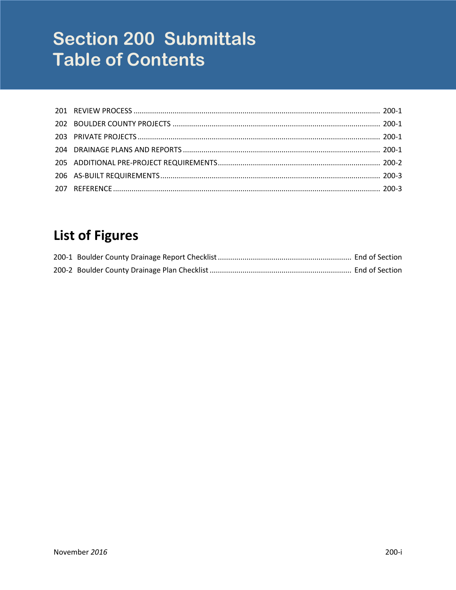# **Section 200 Submittals Table of Contents**

## **List of Figures**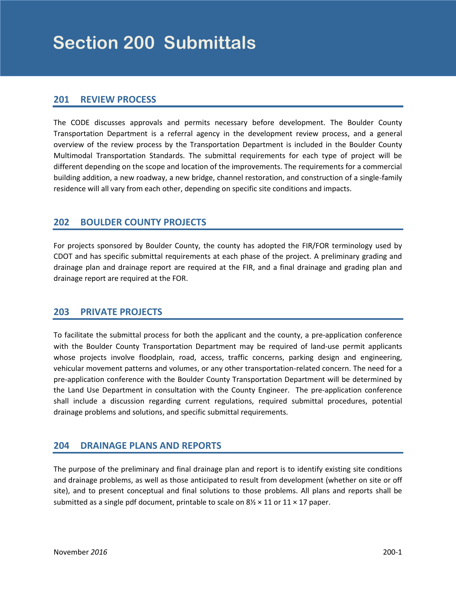#### <span id="page-2-0"></span>**201 REVIEW PROCESS**

The CODE discusses approvals and permits necessary before development. The Boulder County Transportation Department is a referral agency in the development review process, and a general overview of the review process by the Transportation Department is included in the Boulder County Multimodal Transportation Standards. The submittal requirements for each type of project will be different depending on the scope and location of the improvements. The requirements for a commercial building addition, a new roadway, a new bridge, channel restoration, and construction of a single-family residence will all vary from each other, depending on specific site conditions and impacts.

#### **202 BOULDER COUNTY PROJECTS**

For projects sponsored by Boulder County, the county has adopted the FIR/FOR terminology used by CDOT and has specific submittal requirements at each phase of the project. A preliminary grading and drainage plan and drainage report are required at the FIR, and a final drainage and grading plan and drainage report are required at the FOR.

#### **203 PRIVATE PROJECTS**

To facilitate the submittal process for both the applicant and the county, a pre-application conference with the Boulder County Transportation Department may be required of land-use permit applicants whose projects involve floodplain, road, access, traffic concerns, parking design and engineering, vehicular movement patterns and volumes, or any other transportation-related concern. The need for a pre-application conference with the Boulder County Transportation Department will be determined by the Land Use Department in consultation with the County Engineer. The pre-application conference shall include a discussion regarding current regulations, required submittal procedures, potential drainage problems and solutions, and specific submittal requirements.

#### **204 DRAINAGE PLANS AND REPORTS**

The purpose of the preliminary and final drainage plan and report is to identify existing site conditions and drainage problems, as well as those anticipated to result from development (whether on site or off site), and to present conceptual and final solutions to those problems. All plans and reports shall be submitted as a single pdf document, printable to scale on  $8\frac{1}{2} \times 11$  or  $11 \times 17$  paper.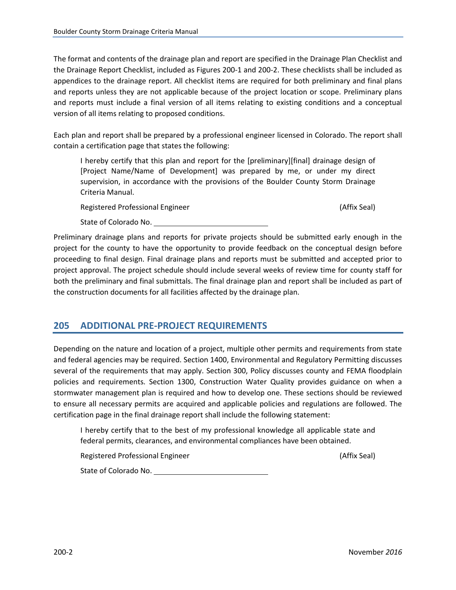<span id="page-3-0"></span>The format and contents of the drainage plan and report are specified in the Drainage Plan Checklist and the Drainage Report Checklist, included as Figures 200-1 and 200-2. These checklists shall be included as appendices to the drainage report. All checklist items are required for both preliminary and final plans and reports unless they are not applicable because of the project location or scope. Preliminary plans and reports must include a final version of all items relating to existing conditions and a conceptual version of all items relating to proposed conditions.

Each plan and report shall be prepared by a professional engineer licensed in Colorado. The report shall contain a certification page that states the following:

I hereby certify that this plan and report for the [preliminary][final] drainage design of [Project Name/Name of Development] was prepared by me, or under my direct supervision, in accordance with the provisions of the Boulder County Storm Drainage Criteria Manual.

Registered Professional Engineer (Affix Seal) and Affix Seal)

State of Colorado No.

Preliminary drainage plans and reports for private projects should be submitted early enough in the project for the county to have the opportunity to provide feedback on the conceptual design before proceeding to final design. Final drainage plans and reports must be submitted and accepted prior to project approval. The project schedule should include several weeks of review time for county staff for both the preliminary and final submittals. The final drainage plan and report shall be included as part of the construction documents for all facilities affected by the drainage plan.

#### **205 ADDITIONAL PRE-PROJECT REQUIREMENTS**

Depending on the nature and location of a project, multiple other permits and requirements from state and federal agencies may be required. Section 1400, Environmental and Regulatory Permitting discusses several of the requirements that may apply. Section 300, Policy discusses county and FEMA floodplain policies and requirements. Section 1300, Construction Water Quality provides guidance on when a stormwater management plan is required and how to develop one. These sections should be reviewed to ensure all necessary permits are acquired and applicable policies and regulations are followed. The certification page in the final drainage report shall include the following statement:

I hereby certify that to the best of my professional knowledge all applicable state and federal permits, clearances, and environmental compliances have been obtained.

Registered Professional Engineer (Affix Seal) and Affix Seal)

State of Colorado No.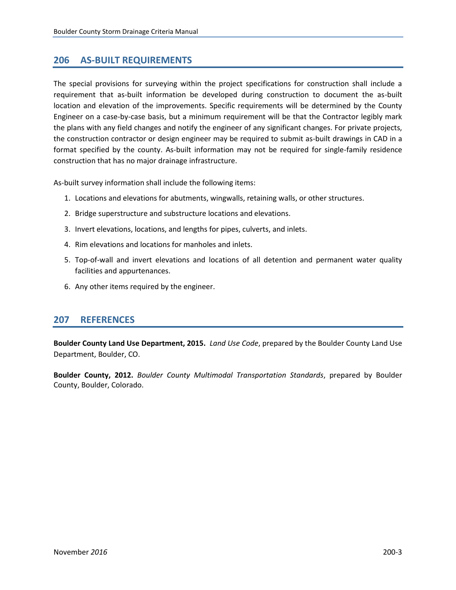#### <span id="page-4-0"></span>**206 AS-BUILT REQUIREMENTS**

The special provisions for surveying within the project specifications for construction shall include a requirement that as-built information be developed during construction to document the as-built location and elevation of the improvements. Specific requirements will be determined by the County Engineer on a case-by-case basis, but a minimum requirement will be that the Contractor legibly mark the plans with any field changes and notify the engineer of any significant changes. For private projects, the construction contractor or design engineer may be required to submit as-built drawings in CAD in a format specified by the county. As-built information may not be required for single-family residence construction that has no major drainage infrastructure.

As-built survey information shall include the following items:

- 1. Locations and elevations for abutments, wingwalls, retaining walls, or other structures.
- 2. Bridge superstructure and substructure locations and elevations.
- 3. Invert elevations, locations, and lengths for pipes, culverts, and inlets.
- 4. Rim elevations and locations for manholes and inlets.
- 5. Top-of-wall and invert elevations and locations of all detention and permanent water quality facilities and appurtenances.
- 6. Any other items required by the engineer.

#### **207 REFERENCES**

**Boulder County Land Use Department, 2015.** *Land Use Code*, prepared by the Boulder County Land Use Department, Boulder, CO.

**Boulder County, 2012.** *Boulder County Multimodal Transportation Standards*, prepared by Boulder County, Boulder, Colorado.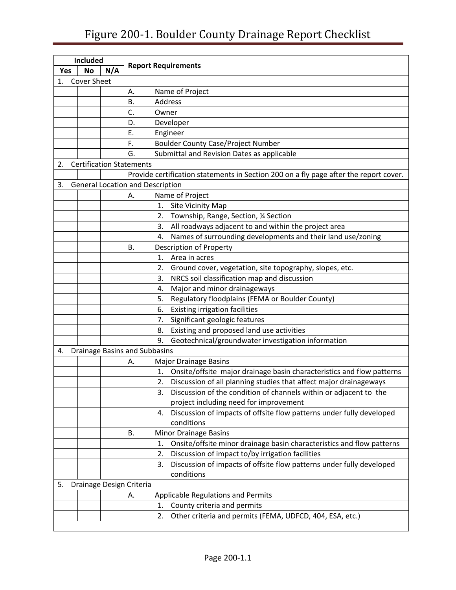## Figure 200-1. Boulder County Drainage Report Checklist

<span id="page-6-0"></span>

|     | <b>Included</b>    |     |                                                                                       |
|-----|--------------------|-----|---------------------------------------------------------------------------------------|
| Yes | <b>No</b>          | N/A | <b>Report Requirements</b>                                                            |
| 1.  | <b>Cover Sheet</b> |     |                                                                                       |
|     |                    |     | Name of Project<br>А.                                                                 |
|     |                    |     | В.<br>Address                                                                         |
|     |                    |     | C.<br>Owner                                                                           |
|     |                    |     | Developer<br>D.                                                                       |
|     |                    |     | Ε.<br>Engineer                                                                        |
|     |                    |     | F.<br><b>Boulder County Case/Project Number</b>                                       |
|     |                    |     | G.<br>Submittal and Revision Dates as applicable                                      |
| 2.  |                    |     | <b>Certification Statements</b>                                                       |
|     |                    |     | Provide certification statements in Section 200 on a fly page after the report cover. |
| 3.  |                    |     | <b>General Location and Description</b>                                               |
|     |                    |     | Name of Project<br>А.                                                                 |
|     |                    |     | Site Vicinity Map<br>1.                                                               |
|     |                    |     | Township, Range, Section, 1/4 Section<br>2.                                           |
|     |                    |     | All roadways adjacent to and within the project area<br>3.                            |
|     |                    |     | Names of surrounding developments and their land use/zoning<br>4.                     |
|     |                    |     | Description of Property<br>В.                                                         |
|     |                    |     | 1.<br>Area in acres                                                                   |
|     |                    |     | 2.<br>Ground cover, vegetation, site topography, slopes, etc.                         |
|     |                    |     | NRCS soil classification map and discussion<br>3.                                     |
|     |                    |     | Major and minor drainageways<br>4.                                                    |
|     |                    |     | Regulatory floodplains (FEMA or Boulder County)<br>5.                                 |
|     |                    |     | <b>Existing irrigation facilities</b><br>6.                                           |
|     |                    |     | Significant geologic features<br>7.                                                   |
|     |                    |     | Existing and proposed land use activities<br>8.                                       |
|     |                    |     | 9.<br>Geotechnical/groundwater investigation information                              |
| 4.  |                    |     | <b>Drainage Basins and Subbasins</b>                                                  |
|     |                    |     | <b>Major Drainage Basins</b><br>Α.                                                    |
|     |                    |     | Onsite/offsite major drainage basin characteristics and flow patterns<br>1.           |
|     |                    |     | Discussion of all planning studies that affect major drainageways<br>2.               |
|     |                    |     | Discussion of the condition of channels within or adjacent to the<br>3.               |
|     |                    |     | project including need for improvement                                                |
|     |                    |     | Discussion of impacts of offsite flow patterns under fully developed<br>4.            |
|     |                    |     | conditions                                                                            |
|     |                    |     | <b>Minor Drainage Basins</b><br>В.                                                    |
|     |                    |     | Onsite/offsite minor drainage basin characteristics and flow patterns<br>1.           |
|     |                    |     | Discussion of impact to/by irrigation facilities<br>2.                                |
|     |                    |     | Discussion of impacts of offsite flow patterns under fully developed<br>3.            |
|     |                    |     | conditions                                                                            |
| 5.  |                    |     | Drainage Design Criteria                                                              |
|     |                    |     | Applicable Regulations and Permits<br>А.                                              |
|     |                    |     | County criteria and permits<br>1.                                                     |
|     |                    |     | 2.<br>Other criteria and permits (FEMA, UDFCD, 404, ESA, etc.)                        |
|     |                    |     |                                                                                       |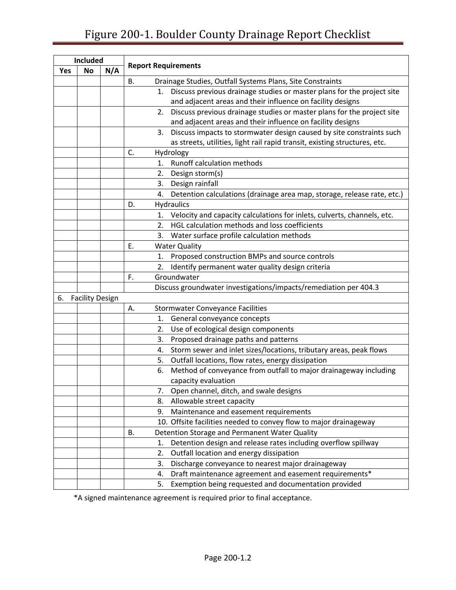### Figure 200-1. Boulder County Drainage Report Checklist

| <b>Included</b> |                        |  |                                                                               |  |  |
|-----------------|------------------------|--|-------------------------------------------------------------------------------|--|--|
| Yes             | <b>No</b><br>N/A       |  | <b>Report Requirements</b>                                                    |  |  |
|                 |                        |  | <b>B.</b><br>Drainage Studies, Outfall Systems Plans, Site Constraints        |  |  |
|                 |                        |  | Discuss previous drainage studies or master plans for the project site<br>1.  |  |  |
|                 |                        |  | and adjacent areas and their influence on facility designs                    |  |  |
|                 |                        |  | Discuss previous drainage studies or master plans for the project site<br>2.  |  |  |
|                 |                        |  | and adjacent areas and their influence on facility designs                    |  |  |
|                 |                        |  | Discuss impacts to stormwater design caused by site constraints such<br>3.    |  |  |
|                 |                        |  | as streets, utilities, light rail rapid transit, existing structures, etc.    |  |  |
|                 |                        |  | C.<br>Hydrology                                                               |  |  |
|                 |                        |  | Runoff calculation methods<br>1.                                              |  |  |
|                 |                        |  | 2.<br>Design storm(s)                                                         |  |  |
|                 |                        |  | Design rainfall<br>3.                                                         |  |  |
|                 |                        |  | Detention calculations (drainage area map, storage, release rate, etc.)<br>4. |  |  |
|                 |                        |  | D.<br><b>Hydraulics</b>                                                       |  |  |
|                 |                        |  | Velocity and capacity calculations for inlets, culverts, channels, etc.<br>1. |  |  |
|                 |                        |  | HGL calculation methods and loss coefficients<br>2.                           |  |  |
|                 |                        |  | 3.<br>Water surface profile calculation methods                               |  |  |
|                 |                        |  | E.<br><b>Water Quality</b>                                                    |  |  |
|                 |                        |  | Proposed construction BMPs and source controls<br>1.                          |  |  |
|                 |                        |  | 2.<br>Identify permanent water quality design criteria                        |  |  |
|                 |                        |  | F.<br>Groundwater                                                             |  |  |
|                 |                        |  | Discuss groundwater investigations/impacts/remediation per 404.3              |  |  |
| 6.              | <b>Facility Design</b> |  |                                                                               |  |  |
|                 |                        |  | <b>Stormwater Conveyance Facilities</b><br>Α.                                 |  |  |
|                 |                        |  | General conveyance concepts<br>1.                                             |  |  |
|                 |                        |  | Use of ecological design components<br>2.                                     |  |  |
|                 |                        |  | 3.<br>Proposed drainage paths and patterns                                    |  |  |
|                 |                        |  | Storm sewer and inlet sizes/locations, tributary areas, peak flows<br>4.      |  |  |
|                 |                        |  | Outfall locations, flow rates, energy dissipation<br>5.                       |  |  |
|                 |                        |  | Method of conveyance from outfall to major drainageway including<br>6.        |  |  |
|                 |                        |  | capacity evaluation                                                           |  |  |
|                 |                        |  | Open channel, ditch, and swale designs<br>7.                                  |  |  |
|                 |                        |  | Allowable street capacity<br>8.                                               |  |  |
|                 |                        |  | Maintenance and easement requirements<br>9.                                   |  |  |
|                 |                        |  | 10. Offsite facilities needed to convey flow to major drainageway             |  |  |
|                 |                        |  | В.<br>Detention Storage and Permanent Water Quality                           |  |  |
|                 |                        |  | Detention design and release rates including overflow spillway<br>1.          |  |  |
|                 |                        |  | Outfall location and energy dissipation<br>2.                                 |  |  |
|                 |                        |  | 3.<br>Discharge conveyance to nearest major drainageway                       |  |  |
|                 |                        |  | Draft maintenance agreement and easement requirements*<br>4.                  |  |  |
|                 |                        |  | Exemption being requested and documentation provided<br>5.                    |  |  |

\*A signed maintenance agreement is required prior to final acceptance.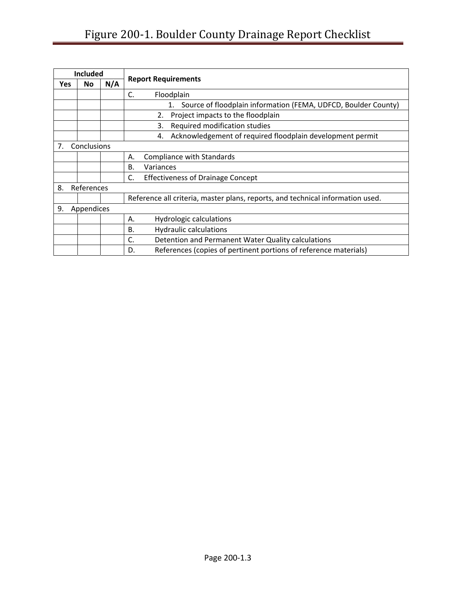## Figure 200-1. Boulder County Drainage Report Checklist

| <b>Included</b>   |            |     |                                                                                |  |  |
|-------------------|------------|-----|--------------------------------------------------------------------------------|--|--|
| Yes               | <b>No</b>  | N/A | <b>Report Requirements</b>                                                     |  |  |
|                   |            |     | C.<br>Floodplain                                                               |  |  |
|                   |            |     | Source of floodplain information (FEMA, UDFCD, Boulder County)<br>1.           |  |  |
|                   |            |     | 2.<br>Project impacts to the floodplain                                        |  |  |
|                   |            |     | 3.<br>Required modification studies                                            |  |  |
|                   |            |     | Acknowledgement of required floodplain development permit<br>4.                |  |  |
| Conclusions<br>7. |            |     |                                                                                |  |  |
|                   |            |     | Compliance with Standards<br>А.                                                |  |  |
|                   |            |     | Β.<br>Variances                                                                |  |  |
|                   |            |     | C.<br><b>Effectiveness of Drainage Concept</b>                                 |  |  |
| 8.<br>References  |            |     |                                                                                |  |  |
|                   |            |     | Reference all criteria, master plans, reports, and technical information used. |  |  |
| 9.                | Appendices |     |                                                                                |  |  |
|                   |            |     | <b>Hydrologic calculations</b><br>А.                                           |  |  |
|                   |            |     | <b>Hydraulic calculations</b><br><b>B.</b>                                     |  |  |
|                   |            |     | Detention and Permanent Water Quality calculations<br>C.                       |  |  |
|                   |            |     | References (copies of pertinent portions of reference materials)<br>D.         |  |  |